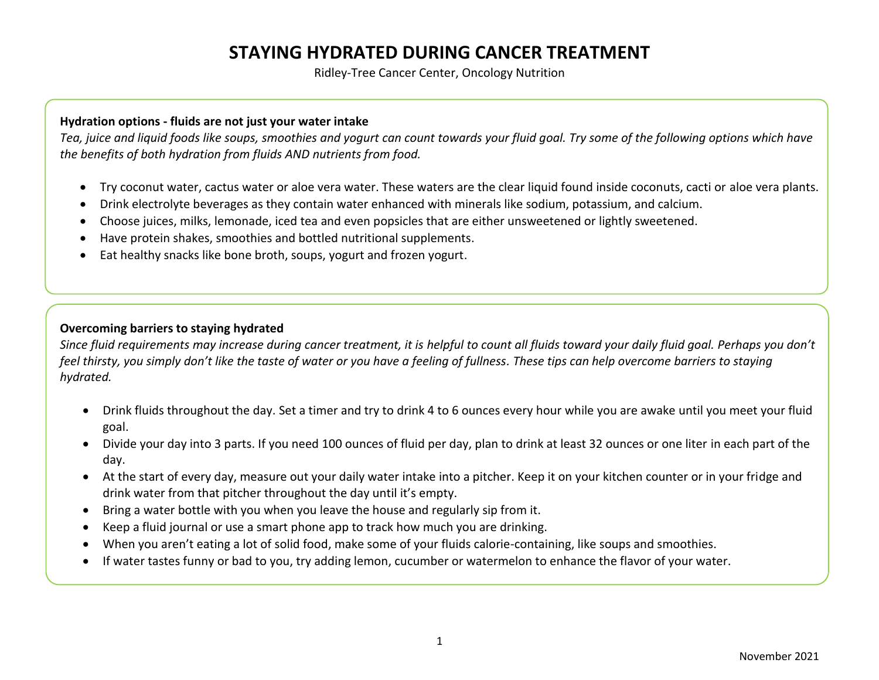# **STAYING HYDRATED DURING CANCER TREATMENT**

Ridley-Tree Cancer Center, Oncology Nutrition

#### **Hydration options - fluids are not just your water intake**

*Tea, juice and liquid foods like soups, smoothies and yogurt can count towards your fluid goal. Try some of the following options which have the benefits of both hydration from fluids AND nutrients from food.*

- Try coconut water, cactus water or aloe vera water. These waters are the clear liquid found inside coconuts, cacti or aloe vera plants.
- Drink electrolyte beverages as they contain water enhanced with minerals like sodium, potassium, and calcium.
- Choose juices, milks, lemonade, iced tea and even popsicles that are either unsweetened or lightly sweetened.
- Have protein shakes, smoothies and bottled nutritional supplements.
- Eat healthy snacks like bone broth, soups, yogurt and frozen yogurt.

### **Overcoming barriers to staying hydrated**

*Since fluid requirements may increase during cancer treatment, it is helpful to count all fluids toward your daily fluid goal. Perhaps you don't feel thirsty, you simply don't like the taste of water or you have a feeling of fullness. These tips can help overcome barriers to staying hydrated.*

- Drink fluids throughout the day. Set a timer and try to drink 4 to 6 ounces every hour while you are awake until you meet your fluid goal.
- Divide your day into 3 parts. If you need 100 ounces of fluid per day, plan to drink at least 32 ounces or one liter in each part of the day.
- At the start of every day, measure out your daily water intake into a pitcher. Keep it on your kitchen counter or in your fridge and drink water from that pitcher throughout the day until it's empty.
- Bring a water bottle with you when you leave the house and regularly sip from it.
- Keep a fluid journal or use a smart phone app to track how much you are drinking.
- When you aren't eating a lot of solid food, make some of your fluids calorie-containing, like soups and smoothies.
- If water tastes funny or bad to you, try adding lemon, cucumber or watermelon to enhance the flavor of your water.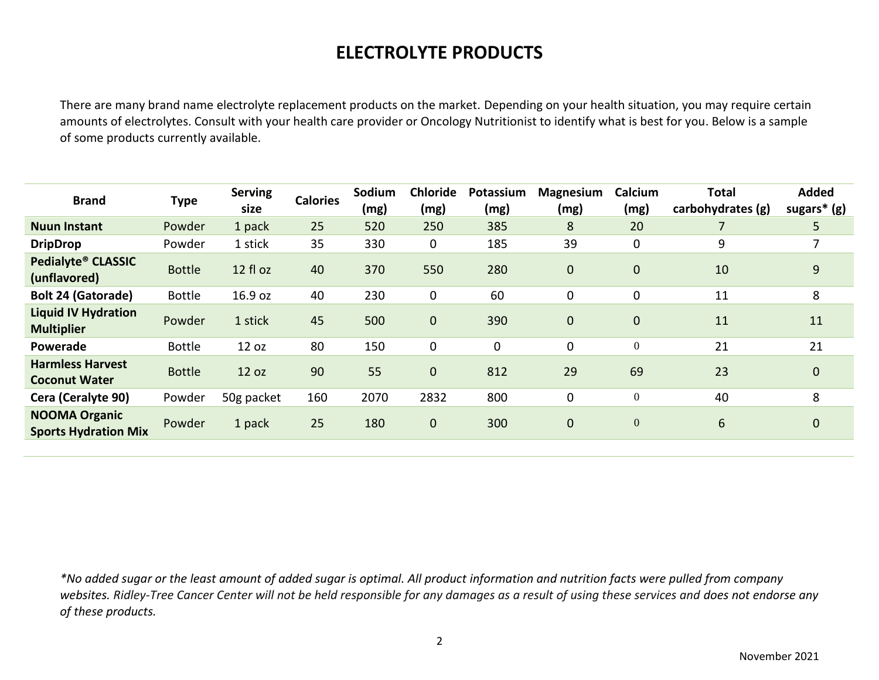## **ELECTROLYTE PRODUCTS**

There are many brand name electrolyte replacement products on the market. Depending on your health situation, you may require certain amounts of electrolytes. Consult with your health care provider or Oncology Nutritionist to identify what is best for you. Below is a sample of some products currently available.

| <b>Brand</b>                                        | <b>Type</b>   | <b>Serving</b><br>size | <b>Calories</b> | Sodium<br>(mg) | <b>Chloride</b><br>(mg) | Potassium<br>(mg) | <b>Magnesium</b><br>(mg) | Calcium<br>(mg)  | <b>Total</b><br>carbohydrates (g) | <b>Added</b><br>sugars* (g) |
|-----------------------------------------------------|---------------|------------------------|-----------------|----------------|-------------------------|-------------------|--------------------------|------------------|-----------------------------------|-----------------------------|
| <b>Nuun Instant</b>                                 | Powder        | 1 pack                 | 25              | 520            | 250                     | 385               | 8                        | 20               |                                   | 5                           |
| <b>DripDrop</b>                                     | Powder        | 1 stick                | 35              | 330            | $\mathbf 0$             | 185               | 39                       | $\mathbf 0$      | 9                                 |                             |
| Pedialyte® CLASSIC<br>(unflavored)                  | <b>Bottle</b> | 12 fl oz               | 40              | 370            | 550                     | 280               | $\overline{0}$           | $\mathbf{0}$     | 10                                | 9                           |
| <b>Bolt 24 (Gatorade)</b>                           | <b>Bottle</b> | 16.9 oz                | 40              | 230            | $\mathbf 0$             | 60                | 0                        | 0                | 11                                | 8                           |
| <b>Liquid IV Hydration</b><br><b>Multiplier</b>     | Powder        | 1 stick                | 45              | 500            | $\mathbf 0$             | 390               | $\overline{0}$           | $\overline{0}$   | 11                                | 11                          |
| Powerade                                            | <b>Bottle</b> | 12 oz                  | 80              | 150            | 0                       | $\mathbf 0$       | $\mathbf 0$              | $\boldsymbol{0}$ | 21                                | 21                          |
| <b>Harmless Harvest</b><br><b>Coconut Water</b>     | <b>Bottle</b> | 12 oz                  | 90              | 55             | $\mathbf 0$             | 812               | 29                       | 69               | 23                                | $\mathbf{0}$                |
| Cera (Ceralyte 90)                                  | Powder        | 50g packet             | 160             | 2070           | 2832                    | 800               | 0                        | $\boldsymbol{0}$ | 40                                | 8                           |
| <b>NOOMA Organic</b><br><b>Sports Hydration Mix</b> | Powder        | 1 pack                 | 25              | 180            | $\mathbf 0$             | 300               | $\overline{0}$           | $\mathbf{0}$     | 6                                 | $\mathbf{0}$                |

*\*No added sugar or the least amount of added sugar is optimal. All product information and nutrition facts were pulled from company websites. Ridley-Tree Cancer Center will not be held responsible for any damages as a result of using these services and does not endorse any of these products.*